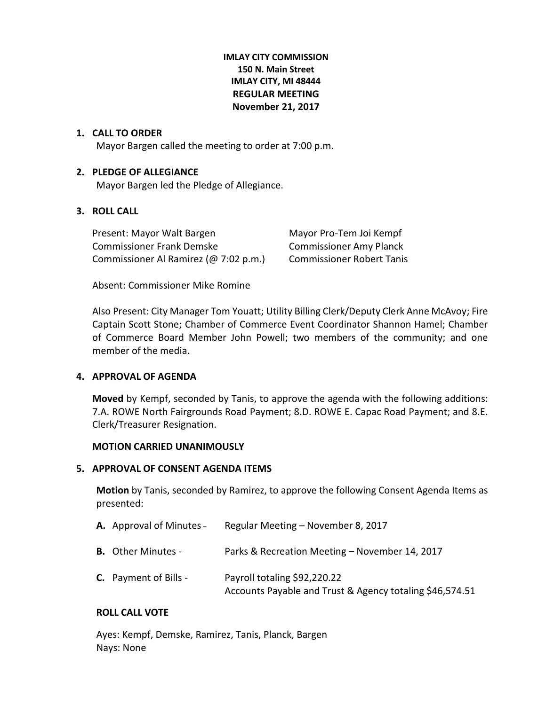# **IMLAY CITY COMMISSION 150 N. Main Street IMLAY CITY, MI 48444 REGULAR MEETING November 21, 2017**

### **1. CALL TO ORDER**

Mayor Bargen called the meeting to order at 7:00 p.m.

### **2. PLEDGE OF ALLEGIANCE**

Mayor Bargen led the Pledge of Allegiance.

# **3. ROLL CALL**

Present: Mayor Walt Bargen Mayor Pro-Tem Joi Kempf Commissioner Frank Demske Commissioner Amy Planck Commissioner Al Ramirez (@ 7:02 p.m.) Commissioner Robert Tanis

Absent: Commissioner Mike Romine

Also Present: City Manager Tom Youatt; Utility Billing Clerk/Deputy Clerk Anne McAvoy; Fire Captain Scott Stone; Chamber of Commerce Event Coordinator Shannon Hamel; Chamber of Commerce Board Member John Powell; two members of the community; and one member of the media.

# **4. APPROVAL OF AGENDA**

**Moved** by Kempf, seconded by Tanis, to approve the agenda with the following additions: 7.A. ROWE North Fairgrounds Road Payment; 8.D. ROWE E. Capac Road Payment; and 8.E. Clerk/Treasurer Resignation.

### **MOTION CARRIED UNANIMOUSLY**

### **5. APPROVAL OF CONSENT AGENDA ITEMS**

**Motion** by Tanis, seconded by Ramirez, to approve the following Consent Agenda Items as presented:

| <b>A.</b> Approval of Minutes – | Regular Meeting - November 8, 2017                                                       |
|---------------------------------|------------------------------------------------------------------------------------------|
| <b>B.</b> Other Minutes -       | Parks & Recreation Meeting - November 14, 2017                                           |
| <b>C.</b> Payment of Bills -    | Payroll totaling \$92,220.22<br>Accounts Payable and Trust & Agency totaling \$46,574.51 |

### **ROLL CALL VOTE**

Ayes: Kempf, Demske, Ramirez, Tanis, Planck, Bargen Nays: None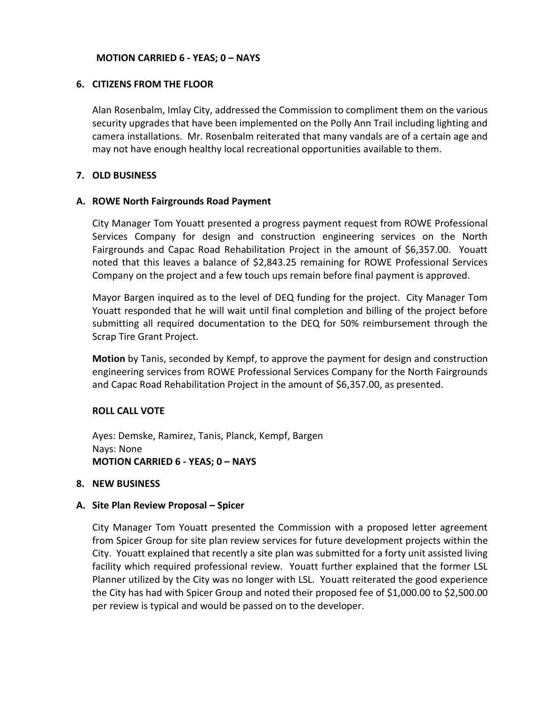### **MOTION CARRIED 6 - YEAS; 0 – NAYS**

### **6. CITIZENS FROM THE FLOOR**

Alan Rosenbalm, Imlay City, addressed the Commission to compliment them on the various security upgrades that have been implemented on the Polly Ann Trail including lighting and camera installations. Mr. Rosenbalm reiterated that many vandals are of a certain age and may not have enough healthy local recreational opportunities available to them.

### **7. OLD BUSINESS**

### **A. ROWE North Fairgrounds Road Payment**

City Manager Tom Youatt presented a progress payment request from ROWE Professional Services Company for design and construction engineering services on the North Fairgrounds and Capac Road Rehabilitation Project in the amount of \$6,357.00. Youatt noted that this leaves a balance of \$2,843.25 remaining for ROWE Professional Services Company on the project and a few touch ups remain before final payment is approved.

Mayor Bargen inquired as to the level of DEQ funding for the project. City Manager Tom Youatt responded that he will wait until final completion and billing of the project before submitting all required documentation to the DEQ for 50% reimbursement through the Scrap Tire Grant Project.

**Motion** by Tanis, seconded by Kempf, to approve the payment for design and construction engineering services from ROWE Professional Services Company for the North Fairgrounds and Capac Road Rehabilitation Project in the amount of \$6,357.00, as presented.

# **ROLL CALL VOTE**

Ayes: Demske, Ramirez, Tanis, Planck, Kempf, Bargen Nays: None **MOTION CARRIED 6 - YEAS; 0 – NAYS**

### **8. NEW BUSINESS**

### **A. Site Plan Review Proposal – Spicer**

City Manager Tom Youatt presented the Commission with a proposed letter agreement from Spicer Group for site plan review services for future development projects within the City. Youatt explained that recently a site plan was submitted for a forty unit assisted living facility which required professional review. Youatt further explained that the former LSL Planner utilized by the City was no longer with LSL. Youatt reiterated the good experience the City has had with Spicer Group and noted their proposed fee of \$1,000.00 to \$2,500.00 per review is typical and would be passed on to the developer.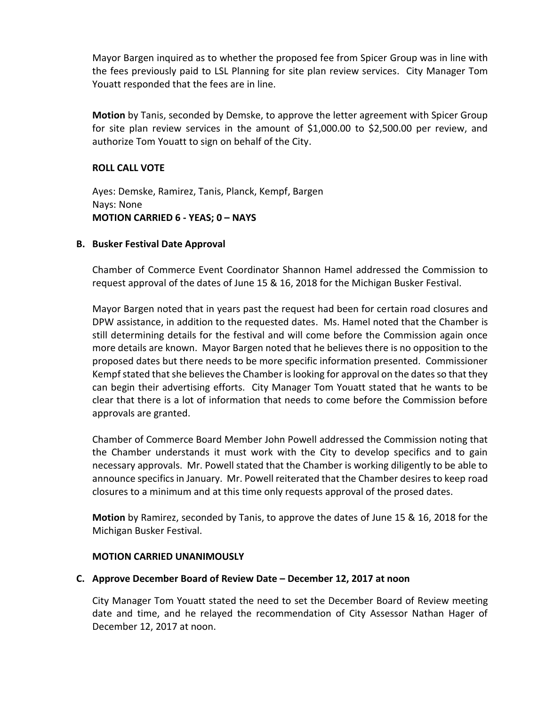Mayor Bargen inquired as to whether the proposed fee from Spicer Group was in line with the fees previously paid to LSL Planning for site plan review services. City Manager Tom Youatt responded that the fees are in line.

**Motion** by Tanis, seconded by Demske, to approve the letter agreement with Spicer Group for site plan review services in the amount of \$1,000.00 to \$2,500.00 per review, and authorize Tom Youatt to sign on behalf of the City.

# **ROLL CALL VOTE**

Ayes: Demske, Ramirez, Tanis, Planck, Kempf, Bargen Nays: None **MOTION CARRIED 6 - YEAS; 0 – NAYS**

# **B. Busker Festival Date Approval**

Chamber of Commerce Event Coordinator Shannon Hamel addressed the Commission to request approval of the dates of June 15 & 16, 2018 for the Michigan Busker Festival.

Mayor Bargen noted that in years past the request had been for certain road closures and DPW assistance, in addition to the requested dates. Ms. Hamel noted that the Chamber is still determining details for the festival and will come before the Commission again once more details are known. Mayor Bargen noted that he believes there is no opposition to the proposed dates but there needs to be more specific information presented. Commissioner Kempf stated that she believes the Chamber is looking for approval on the dates so that they can begin their advertising efforts. City Manager Tom Youatt stated that he wants to be clear that there is a lot of information that needs to come before the Commission before approvals are granted.

Chamber of Commerce Board Member John Powell addressed the Commission noting that the Chamber understands it must work with the City to develop specifics and to gain necessary approvals. Mr. Powell stated that the Chamber is working diligently to be able to announce specifics in January. Mr. Powell reiterated that the Chamber desires to keep road closures to a minimum and at this time only requests approval of the prosed dates.

**Motion** by Ramirez, seconded by Tanis, to approve the dates of June 15 & 16, 2018 for the Michigan Busker Festival.

# **MOTION CARRIED UNANIMOUSLY**

# **C. Approve December Board of Review Date – December 12, 2017 at noon**

City Manager Tom Youatt stated the need to set the December Board of Review meeting date and time, and he relayed the recommendation of City Assessor Nathan Hager of December 12, 2017 at noon.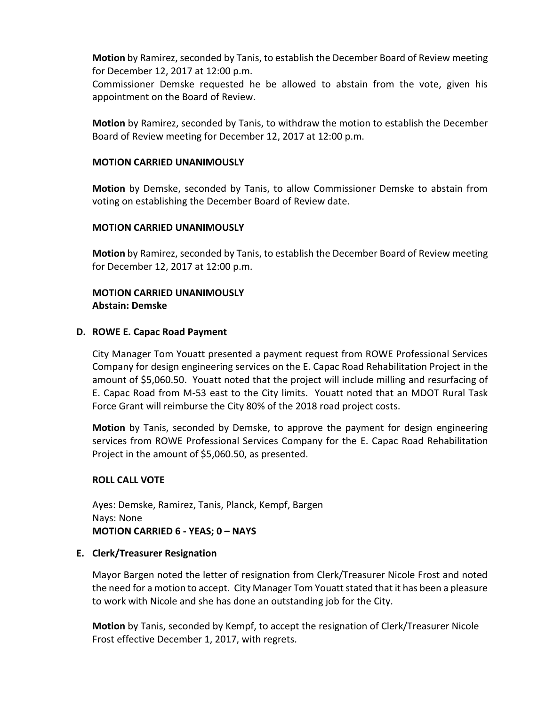**Motion** by Ramirez, seconded by Tanis, to establish the December Board of Review meeting for December 12, 2017 at 12:00 p.m.

Commissioner Demske requested he be allowed to abstain from the vote, given his appointment on the Board of Review.

**Motion** by Ramirez, seconded by Tanis, to withdraw the motion to establish the December Board of Review meeting for December 12, 2017 at 12:00 p.m.

### **MOTION CARRIED UNANIMOUSLY**

**Motion** by Demske, seconded by Tanis, to allow Commissioner Demske to abstain from voting on establishing the December Board of Review date.

# **MOTION CARRIED UNANIMOUSLY**

**Motion** by Ramirez, seconded by Tanis, to establish the December Board of Review meeting for December 12, 2017 at 12:00 p.m.

# **MOTION CARRIED UNANIMOUSLY Abstain: Demske**

### **D. ROWE E. Capac Road Payment**

City Manager Tom Youatt presented a payment request from ROWE Professional Services Company for design engineering services on the E. Capac Road Rehabilitation Project in the amount of \$5,060.50. Youatt noted that the project will include milling and resurfacing of E. Capac Road from M-53 east to the City limits. Youatt noted that an MDOT Rural Task Force Grant will reimburse the City 80% of the 2018 road project costs.

**Motion** by Tanis, seconded by Demske, to approve the payment for design engineering services from ROWE Professional Services Company for the E. Capac Road Rehabilitation Project in the amount of \$5,060.50, as presented.

# **ROLL CALL VOTE**

Ayes: Demske, Ramirez, Tanis, Planck, Kempf, Bargen Nays: None **MOTION CARRIED 6 - YEAS; 0 – NAYS**

### **E. Clerk/Treasurer Resignation**

Mayor Bargen noted the letter of resignation from Clerk/Treasurer Nicole Frost and noted the need for a motion to accept. City Manager Tom Youatt stated that it has been a pleasure to work with Nicole and she has done an outstanding job for the City.

**Motion** by Tanis, seconded by Kempf, to accept the resignation of Clerk/Treasurer Nicole Frost effective December 1, 2017, with regrets.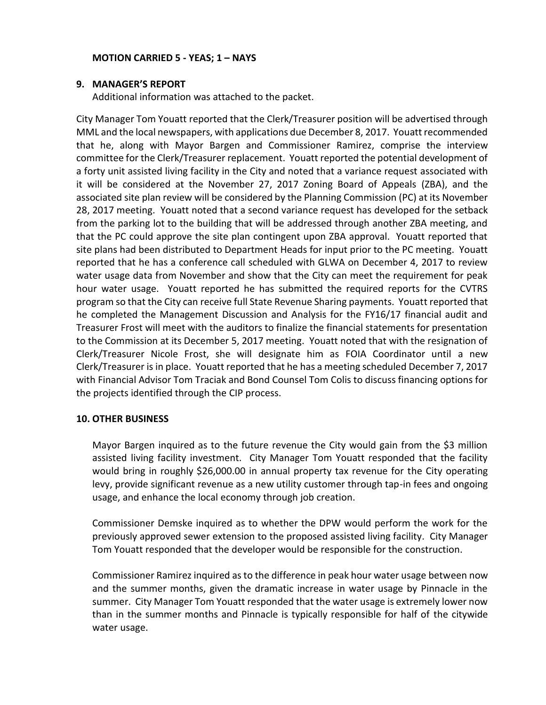# **MOTION CARRIED 5 - YEAS; 1 – NAYS**

### **9. MANAGER'S REPORT**

Additional information was attached to the packet.

City Manager Tom Youatt reported that the Clerk/Treasurer position will be advertised through MML and the local newspapers, with applications due December 8, 2017. Youatt recommended that he, along with Mayor Bargen and Commissioner Ramirez, comprise the interview committee for the Clerk/Treasurer replacement. Youatt reported the potential development of a forty unit assisted living facility in the City and noted that a variance request associated with it will be considered at the November 27, 2017 Zoning Board of Appeals (ZBA), and the associated site plan review will be considered by the Planning Commission (PC) at its November 28, 2017 meeting. Youatt noted that a second variance request has developed for the setback from the parking lot to the building that will be addressed through another ZBA meeting, and that the PC could approve the site plan contingent upon ZBA approval. Youatt reported that site plans had been distributed to Department Heads for input prior to the PC meeting. Youatt reported that he has a conference call scheduled with GLWA on December 4, 2017 to review water usage data from November and show that the City can meet the requirement for peak hour water usage. Youatt reported he has submitted the required reports for the CVTRS program so that the City can receive full State Revenue Sharing payments. Youatt reported that he completed the Management Discussion and Analysis for the FY16/17 financial audit and Treasurer Frost will meet with the auditors to finalize the financial statements for presentation to the Commission at its December 5, 2017 meeting. Youatt noted that with the resignation of Clerk/Treasurer Nicole Frost, she will designate him as FOIA Coordinator until a new Clerk/Treasurer is in place. Youatt reported that he has a meeting scheduled December 7, 2017 with Financial Advisor Tom Traciak and Bond Counsel Tom Colis to discuss financing options for the projects identified through the CIP process.

# **10. OTHER BUSINESS**

Mayor Bargen inquired as to the future revenue the City would gain from the \$3 million assisted living facility investment. City Manager Tom Youatt responded that the facility would bring in roughly \$26,000.00 in annual property tax revenue for the City operating levy, provide significant revenue as a new utility customer through tap-in fees and ongoing usage, and enhance the local economy through job creation.

Commissioner Demske inquired as to whether the DPW would perform the work for the previously approved sewer extension to the proposed assisted living facility. City Manager Tom Youatt responded that the developer would be responsible for the construction.

Commissioner Ramirez inquired as to the difference in peak hour water usage between now and the summer months, given the dramatic increase in water usage by Pinnacle in the summer. City Manager Tom Youatt responded that the water usage is extremely lower now than in the summer months and Pinnacle is typically responsible for half of the citywide water usage.